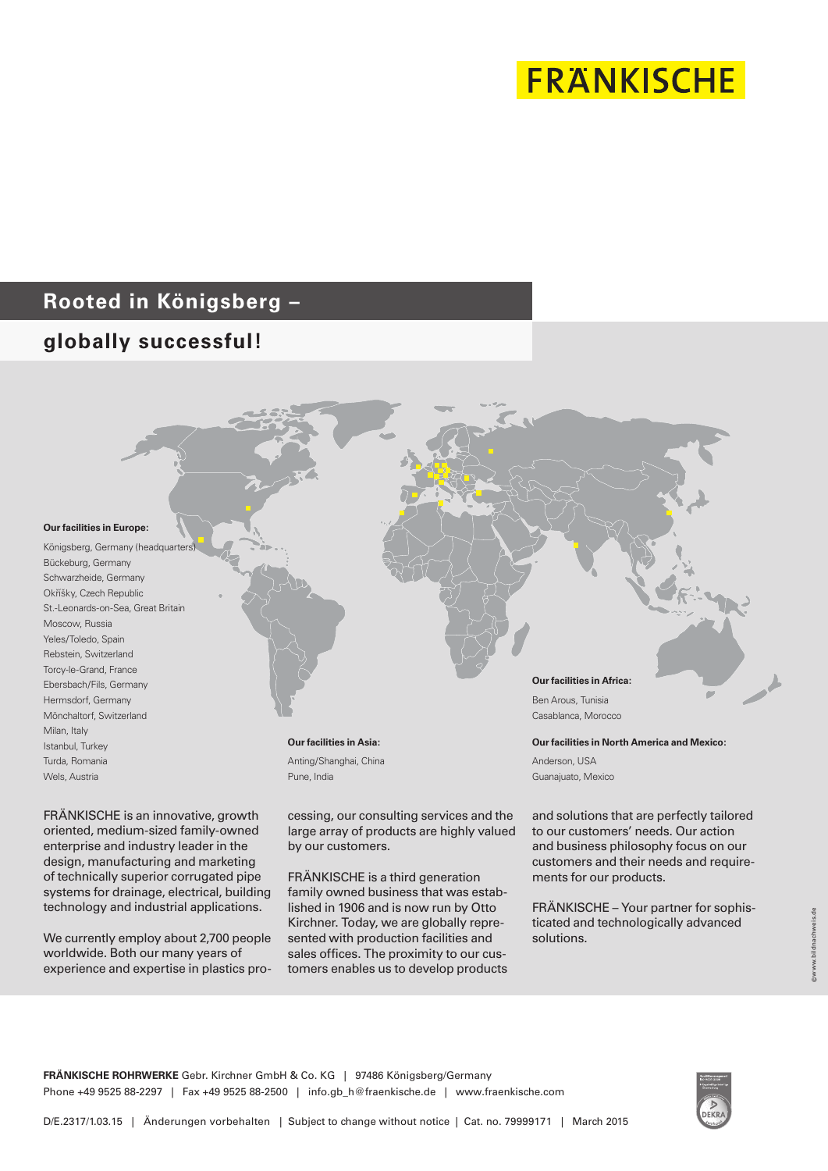# **FRANKISCHE**

# **Rooted in Königsberg –**

# **globally successful!**



FRÄNKISCHE is an innovative, growth oriented, medium-sized family-owned enterprise and industry leader in the design, manufacturing and marketing of technically superior corrugated pipe systems for drainage, electrical, building technology and industrial applications.

We currently employ about 2,700 people worldwide. Both our many years of experience and expertise in plastics processing, our consulting services and the large array of products are highly valued by our customers.

FRÄNKISCHE is a third generation family owned business that was established in 1906 and is now run by Otto Kirchner. Today, we are globally represented with production facilities and sales offices. The proximity to our customers enables us to develop products

and solutions that are perfectly tailored to our customers' needs. Our action and business philosophy focus on our customers and their needs and requirements for our products.

FRÄNKISCHE – Your partner for sophisticated and technologically advanced solutions.

**FRÄNKISCHE ROHRWERKE** Gebr. Kirchner GmbH & Co. KG | 97486 Königsberg/Germany Phone +49 9525 88-2297 | Fax +49 9525 88-2500 | info.gb\_h@fraenkische.de | www.fraenkische.com

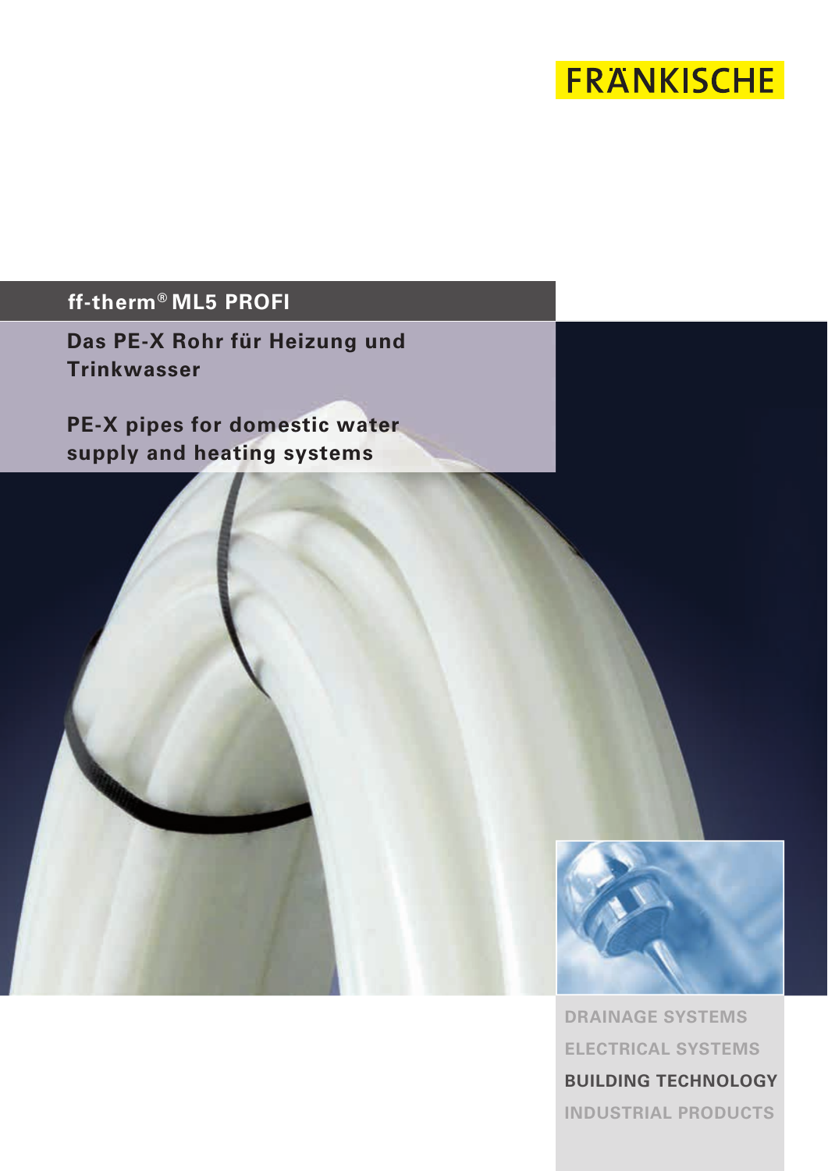# **FRANKISCHE**

# **ff-therm® ML5 PROFI**

**Das PE-X Rohr für Heizung und Trinkwasser**

**PE-X pipes for domestic water supply and heating systems**



**DRAINAGE SYSTEMS ELECTRICAL SYSTEMS BUILDING TECHNOLOGY INDUSTRIAL PRODUCTS**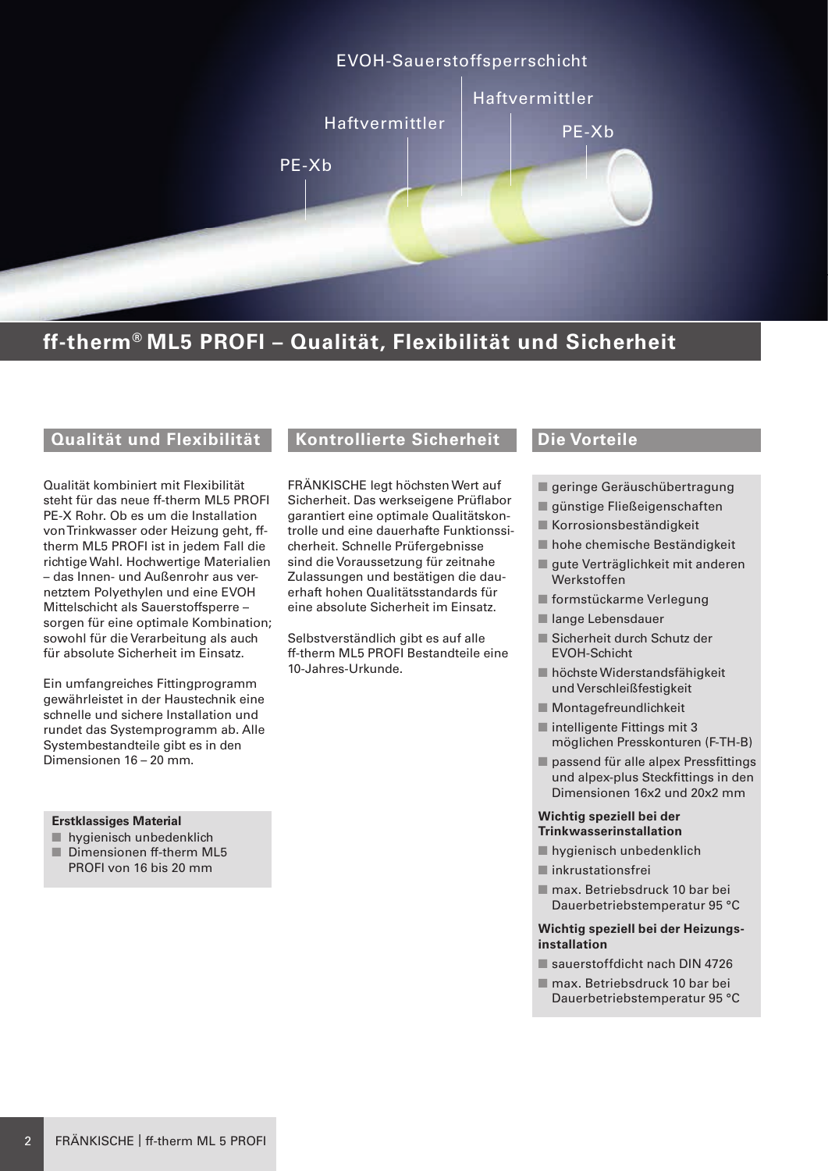

## **ff-therm® ML5 PROFI – Qualität, Flexibilität und Sicherheit**

## **Qualität und Flexibilität**

Qualität kombiniert mit Flexibilität steht für das neue ff-therm ML5 PROFI PE-X Rohr. Ob es um die Installation von Trinkwasser oder Heizung geht, fftherm ML5 PROFI ist in jedem Fall die richtige Wahl. Hochwertige Materialien – das Innen- und Außenrohr aus vernetztem Polyethylen und eine EVOH Mittelschicht als Sauerstoffsperre – sorgen für eine optimale Kombination; sowohl für die Verarbeitung als auch für absolute Sicherheit im Einsatz.

Ein umfangreiches Fittingprogramm gewährleistet in der Haustechnik eine schnelle und sichere Installation und rundet das Systemprogramm ab. Alle Systembestandteile gibt es in den Dimensionen 16 – 20 mm.

#### **Erstklassiges Material**

- hygienisch unbedenklich
- Dimensionen ff-therm ML5
- PROFI von 16 bis 20 mm

## **Kontrollierte Sicherheit**

FRÄNKISCHE legt höchsten Wert auf Sicherheit. Das werkseigene Prüflabor garantiert eine optimale Qualitätskontrolle und eine dauerhafte Funktionssicherheit. Schnelle Prüfergebnisse sind die Voraussetzung für zeitnahe Zulassungen und bestätigen die dauerhaft hohen Qualitätsstandards für eine absolute Sicherheit im Einsatz.

Selbstverständlich gibt es auf alle ff-therm ML5 PROFI Bestandteile eine 10-Jahres-Urkunde.

## **Die Vorteile**

- geringe Geräuschübertragung
- günstige Fließeigenschaften
- Korrosionsbeständigkeit
- hohe chemische Beständigkeit
- gute Verträglichkeit mit anderen Werkstoffen
- formstückarme Verlegung
- lange Lebensdauer
- Sicherheit durch Schutz der EVOH-Schicht
- höchste Widerstandsfähigkeit und Verschleißfestigkeit
- Montagefreundlichkeit
- intelligente Fittings mit 3 möglichen Presskonturen (F-TH-B)
- passend für alle alpex Pressfittings und alpex-plus Steckfittings in den Dimensionen 16x2 und 20x2 mm

#### **Wichtig speziell bei der Trinkwasserinstallation**

- hygienisch unbedenklich
- inkrustationsfrei
- max. Betriebsdruck 10 bar bei Dauerbetriebstemperatur 95 °C

#### **Wichtig speziell bei der Heizungsinstallation**

- sauerstoffdicht nach DIN 4726
- max. Betriebsdruck 10 bar bei Dauerbetriebstemperatur 95 °C